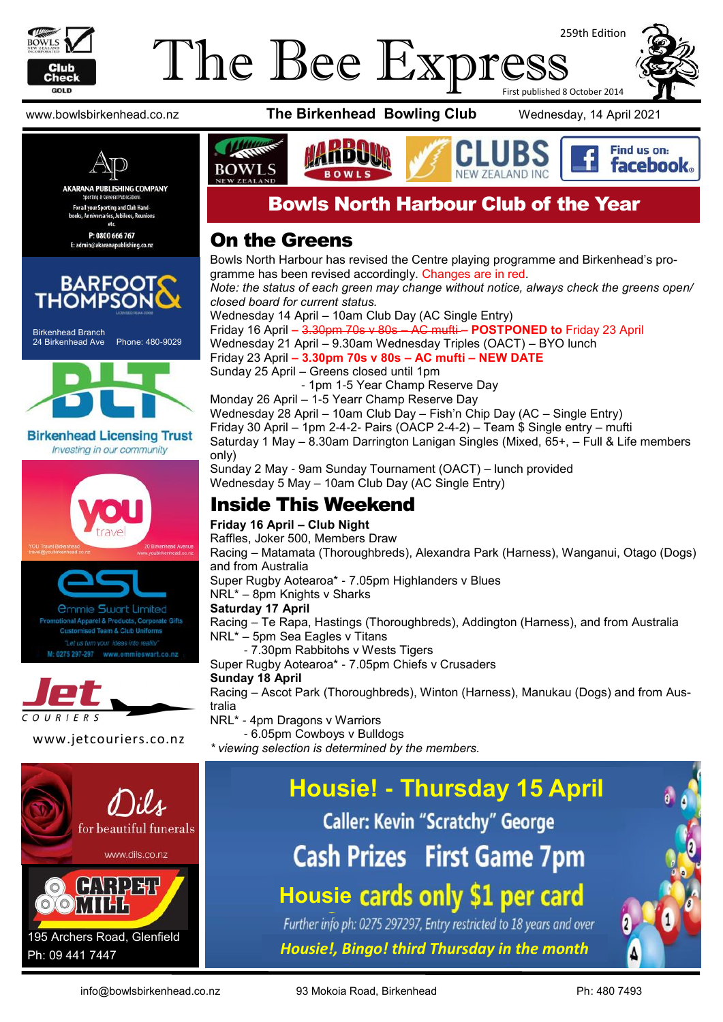

## The Bee Express 259th Edition First published 8 October 2014



P: 0800 666 767 E: admin@akaranapublishing.co.nz



Birkenhead Branch 24 Birkenhead Ave Phone: 480-9029



**Birkenhead Licensing Trust** Investing in our community







www.bowlsbirkenhead.co.nz **The Birkenhead Bowling Club** Wednesday, 14 April 2021



Find us on: **facebook**.



## Bowls North Harbour Club of the Year

### On the Greens

Bowls North Harbour has revised the Centre playing programme and Birkenhead's programme has been revised accordingly. Changes are in red. *Note: the status of each green may change without notice, always check the greens open/ closed board for current status.* Wednesday 14 April – 10am Club Day (AC Single Entry) Friday 16 April **–** 3.30pm 70s v 80s – AC mufti **– POSTPONED to** Friday 23 April Wednesday 21 April – 9.30am Wednesday Triples (OACT) – BYO lunch Friday 23 April **– 3.30pm 70s v 80s – AC mufti – NEW DATE** Sunday 25 April – Greens closed until 1pm - 1pm 1-5 Year Champ Reserve Day Monday 26 April – 1-5 Yearr Champ Reserve Day Wednesday 28 April – 10am Club Day – Fish'n Chip Day (AC – Single Entry) Friday 30 April – 1pm 2-4-2- Pairs (OACP 2-4-2) – Team \$ Single entry – mufti Saturday 1 May – 8.30am Darrington Lanigan Singles (Mixed, 65+, – Full & Life members only) Sunday 2 May - 9am Sunday Tournament (OACT) – lunch provided

Wednesday 5 May – 10am Club Day (AC Single Entry)

### Inside This Weekend

### **Friday 16 April – Club Night**

Raffles, Joker 500, Members Draw

Racing – Matamata (Thoroughbreds), Alexandra Park (Harness), Wanganui, Otago (Dogs) and from Australia

Super Rugby Aotearoa\* - 7.05pm Highlanders v Blues

NRL\* – 8pm Knights v Sharks

### **Saturday 17 April**

Racing – Te Rapa, Hastings (Thoroughbreds), Addington (Harness), and from Australia NRL\* – 5pm Sea Eagles v Titans

- 7.30pm Rabbitohs v Wests Tigers

Super Rugby Aotearoa\* - 7.05pm Chiefs v Crusaders

#### **Sunday 18 April**

Racing – Ascot Park (Thoroughbreds), Winton (Harness), Manukau (Dogs) and from Australia

NRL\* - 4pm Dragons v Warriors

- 6.05pm Cowboys v Bulldogs

*\* viewing selection is determined by the members.* www.jetcouriers.co.nz

# **Housie! - Thursday 15 April Caller: Kevin "Scratchy" George**

**Cash Prizes First Game 7pm** 

# **Housie cards only \$1 per card**

Further info ph: 0275 297297, Entry restricted to 18 years and over *Housie!, Bingo! third Thursday in the month*



info@bowlsbirkenhead.co.nz 93 Mokoia Road, Birkenhead Ph: 480 7493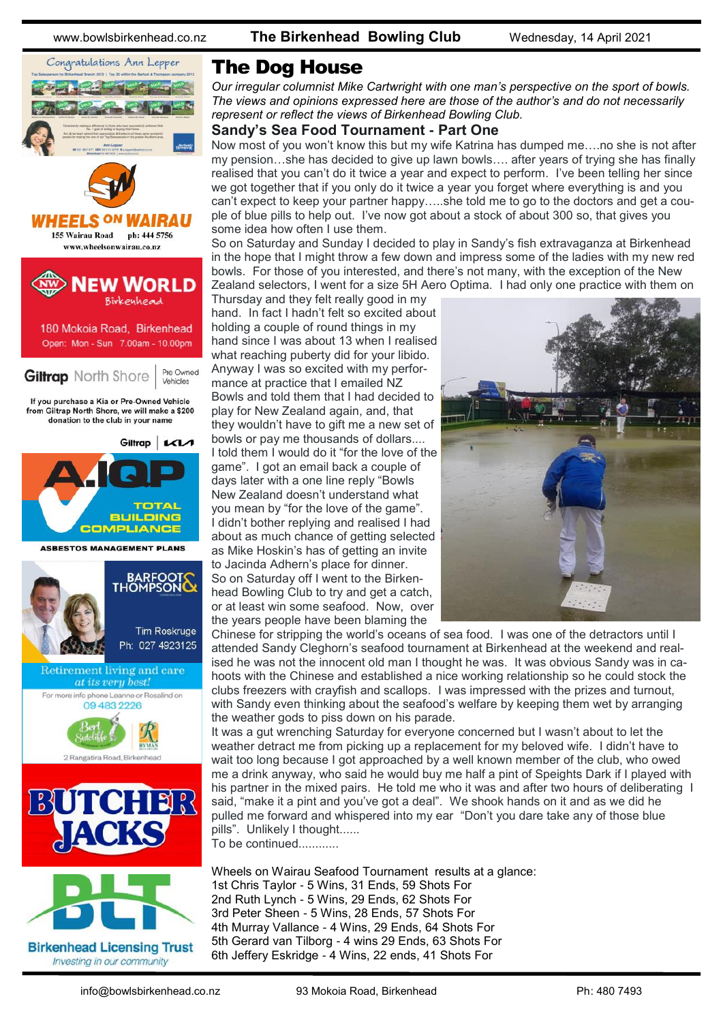www.bowlsbirkenhead.co.nz **The Birkenhead Bowling Club** Wednesday, 14 April 2021



Investing in our community

### The Dog House

*Our irregular columnist Mike Cartwright with one man's perspective on the sport of bowls. The views and opinions expressed here are those of the author's and do not necessarily represent or reflect the views of Birkenhead Bowling Club.*

### **Sandy's Sea Food Tournament - Part One**

Now most of you won't know this but my wife Katrina has dumped me….no she is not after my pension…she has decided to give up lawn bowls…. after years of trying she has finally realised that you can't do it twice a year and expect to perform. I've been telling her since we got together that if you only do it twice a year you forget where everything is and you can't expect to keep your partner happy…..she told me to go to the doctors and get a couple of blue pills to help out. I've now got about a stock of about 300 so, that gives you some idea how often I use them.

So on Saturday and Sunday I decided to play in Sandy's fish extravaganza at Birkenhead in the hope that I might throw a few down and impress some of the ladies with my new red bowls. For those of you interested, and there's not many, with the exception of the New Zealand selectors, I went for a size 5H Aero Optima. I had only one practice with them on

Thursday and they felt really good in my hand. In fact I hadn't felt so excited about holding a couple of round things in my hand since I was about 13 when I realised what reaching puberty did for your libido. Anyway I was so excited with my performance at practice that I emailed NZ Bowls and told them that I had decided to play for New Zealand again, and, that they wouldn't have to gift me a new set of bowls or pay me thousands of dollars.... I told them I would do it "for the love of the game". I got an email back a couple of days later with a one line reply "Bowls New Zealand doesn't understand what you mean by "for the love of the game". I didn't bother replying and realised I had about as much chance of getting selected as Mike Hoskin's has of getting an invite to Jacinda Adhern's place for dinner. So on Saturday off I went to the Birkenhead Bowling Club to try and get a catch, or at least win some seafood. Now, over the years people have been blaming the



Chinese for stripping the world's oceans of sea food. I was one of the detractors until I attended Sandy Cleghorn's seafood tournament at Birkenhead at the weekend and realised he was not the innocent old man I thought he was. It was obvious Sandy was in cahoots with the Chinese and established a nice working relationship so he could stock the clubs freezers with crayfish and scallops. I was impressed with the prizes and turnout, with Sandy even thinking about the seafood's welfare by keeping them wet by arranging the weather gods to piss down on his parade.

It was a gut wrenching Saturday for everyone concerned but I wasn't about to let the weather detract me from picking up a replacement for my beloved wife. I didn't have to wait too long because I got approached by a well known member of the club, who owed me a drink anyway, who said he would buy me half a pint of Speights Dark if I played with his partner in the mixed pairs. He told me who it was and after two hours of deliberating I said, "make it a pint and you've got a deal". We shook hands on it and as we did he pulled me forward and whispered into my ear "Don't you dare take any of those blue pills". Unlikely I thought......

To be continued............

Wheels on Wairau Seafood Tournament results at a glance: 1st Chris Taylor - 5 Wins, 31 Ends, 59 Shots For 2nd Ruth Lynch - 5 Wins, 29 Ends, 62 Shots For 3rd Peter Sheen - 5 Wins, 28 Ends, 57 Shots For 4th Murray Vallance - 4 Wins, 29 Ends, 64 Shots For 5th Gerard van Tilborg - 4 wins 29 Ends, 63 Shots For 6th Jeffery Eskridge - 4 Wins, 22 ends, 41 Shots For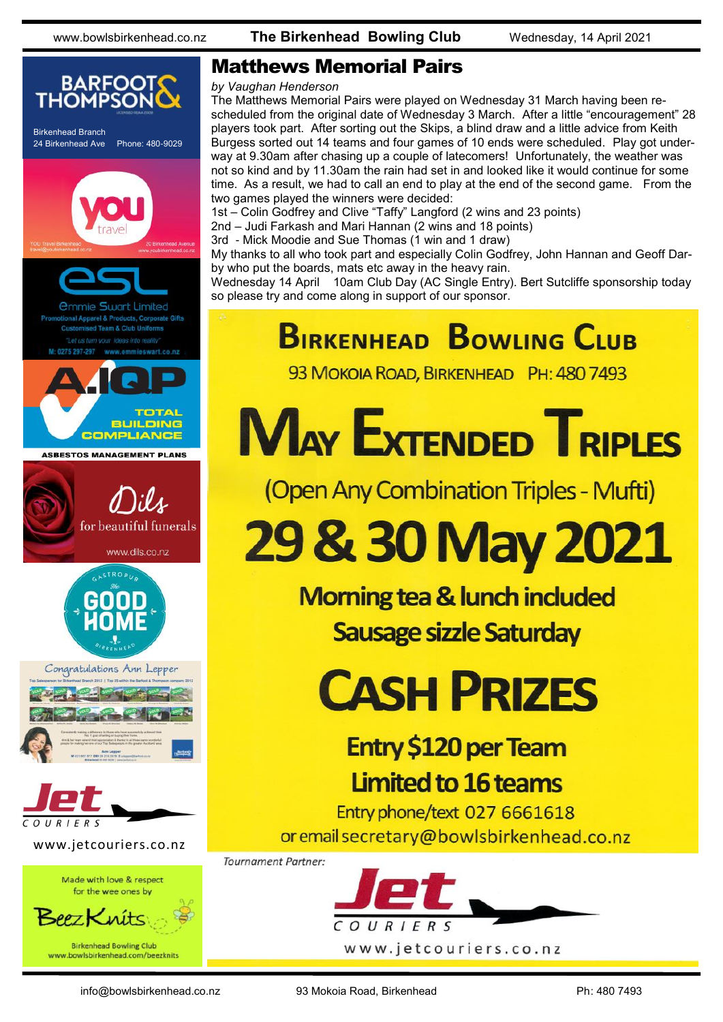

### Matthews Memorial Pairs

#### *by Vaughan Henderson*

The Matthews Memorial Pairs were played on Wednesday 31 March having been rescheduled from the original date of Wednesday 3 March. After a little "encouragement" 28 players took part. After sorting out the Skips, a blind draw and a little advice from Keith Burgess sorted out 14 teams and four games of 10 ends were scheduled. Play got underway at 9.30am after chasing up a couple of latecomers! Unfortunately, the weather was not so kind and by 11.30am the rain had set in and looked like it would continue for some time. As a result, we had to call an end to play at the end of the second game. From the two games played the winners were decided:

1st – Colin Godfrey and Clive "Taffy" Langford (2 wins and 23 points)

- 2nd Judi Farkash and Mari Hannan (2 wins and 18 points)
- 3rd Mick Moodie and Sue Thomas (1 win and 1 draw)

My thanks to all who took part and especially Colin Godfrey, John Hannan and Geoff Darby who put the boards, mats etc away in the heavy rain.

Wednesday 14 April 10am Club Day (AC Single Entry). Bert Sutcliffe sponsorship today so please try and come along in support of our sponsor.

# **BIRKENHEAD BOWLING CLUB**

93 MOKOIA ROAD, BIRKENHEAD PH: 480 7493

**MAY EXTENDED TRIPLES** 

(Open Any Combination Triples - Mufti)

# 29 & 30 May 2021

**Morning tea & lunch included Sausage sizzle Saturday** 

# **CASH PRIZES**

# **Entry \$120 per Team Limited to 16 teams**

Entry phone/text 027 6661618 or email secretary@bowlsbirkenhead.co.nz

**Tournament Partner:** 

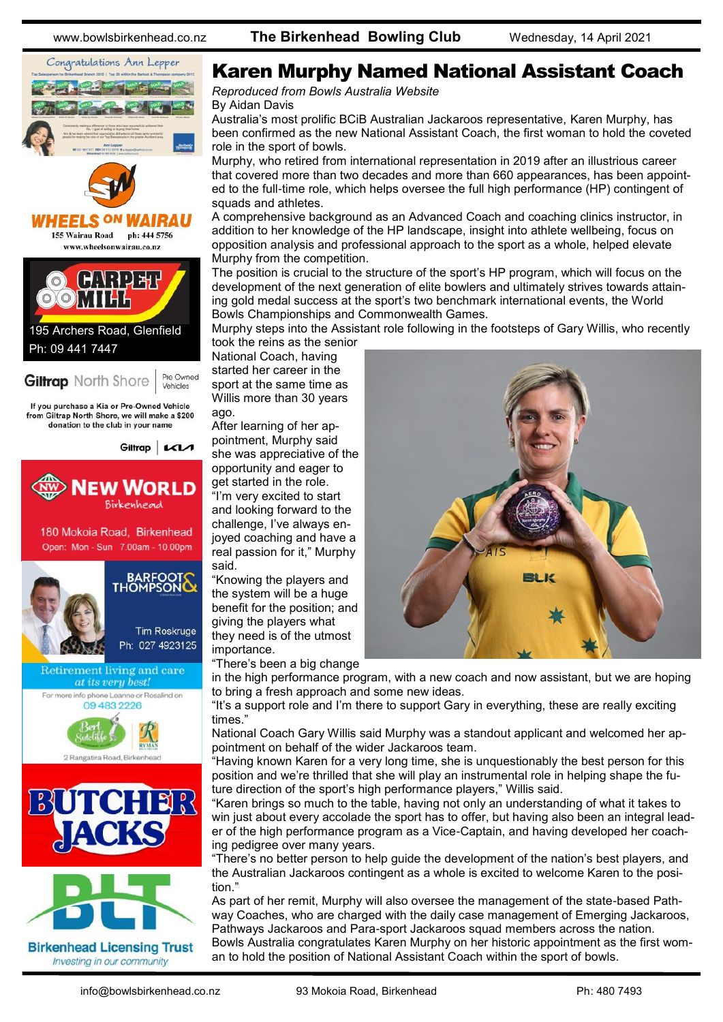

### Karen Murphy Named National Assistant Coach

*Reproduced from Bowls Australia Website* By [Aidan Davis](https://www.bowls.com.au/author/adavis/)

Australia's most prolific BCiB Australian Jackaroos representative, Karen Murphy, has been confirmed as the new National Assistant Coach, the first woman to hold the coveted role in the sport of bowls.

Murphy, who retired from international representation in 2019 after an illustrious career that covered more than two decades and more than 660 appearances, has been appointed to the full-time role, which helps oversee the full high performance (HP) contingent of squads and athletes.

A comprehensive background as an Advanced Coach and coaching clinics instructor, in addition to her knowledge of the HP landscape, insight into athlete wellbeing, focus on opposition analysis and professional approach to the sport as a whole, helped elevate Murphy from the competition.

The position is crucial to the structure of the sport's HP program, which will focus on the development of the next generation of elite bowlers and ultimately strives towards attaining gold medal success at the sport's two benchmark international events, the World Bowls Championships and Commonwealth Games.

Murphy steps into the Assistant role following in the footsteps of Gary Willis, who recently

took the reins as the senior National Coach, having started her career in the sport at the same time as Willis more than 30 years ago.

After learning of her appointment, Murphy said she was appreciative of the opportunity and eager to get started in the role.

"I'm very excited to start and looking forward to the challenge, I've always enjoyed coaching and have a real passion for it," Murphy said.

"Knowing the players and the system will be a huge benefit for the position; and giving the players what they need is of the utmost importance.

"There's been a big change

in the high performance program, with a new coach and now assistant, but we are hoping to bring a fresh approach and some new ideas.

"It's a support role and I'm there to support Gary in everything, these are really exciting times."

National Coach Gary Willis said Murphy was a standout applicant and welcomed her appointment on behalf of the wider Jackaroos team.

"Having known Karen for a very long time, she is unquestionably the best person for this position and we're thrilled that she will play an instrumental role in helping shape the future direction of the sport's high performance players," Willis said.

"Karen brings so much to the table, having not only an understanding of what it takes to win just about every accolade the sport has to offer, but having also been an integral leader of the high performance program as a Vice-Captain, and having developed her coaching pedigree over many years.

"There's no better person to help guide the development of the nation's best players, and the Australian Jackaroos contingent as a whole is excited to welcome Karen to the position."

As part of her remit, Murphy will also oversee the management of the state-based Pathway Coaches, who are charged with the daily case management of Emerging Jackaroos, Pathways Jackaroos and Para-sport Jackaroos squad members across the nation. Bowls Australia congratulates Karen Murphy on her historic appointment as the first woman to hold the position of National Assistant Coach within the sport of bowls.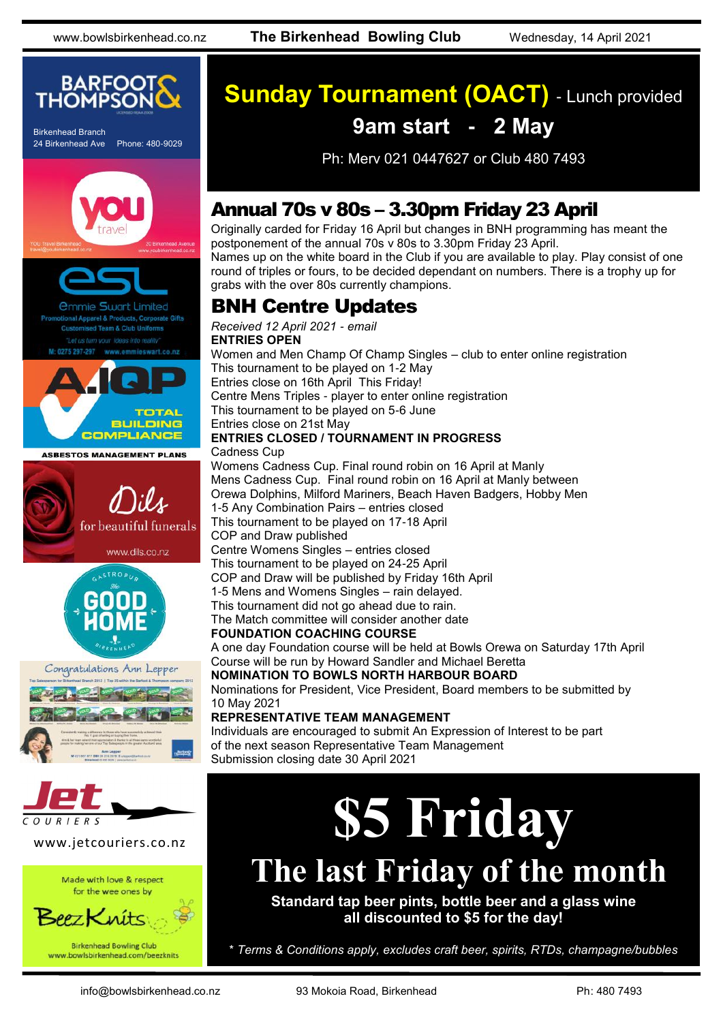

Birkenhead Branch 24 Birkenhead Ave Phone: 480-9029





Apparel & Products, Corporate Gifts ed Team & Club Uniforms ieswart.co.nz













#### www.jetcouriers.co.nz

Made with love & respect for the wee ones by



www.bowlsbirkenhead.com/beezknits

# **Sunday Tournament (OACT)** - Lunch provided

## **9am start - 2 May**

Ph: Merv 021 0447627 or Club 480 7493

### Annual 70s v 80s – 3.30pm Friday 23 April

Originally carded for Friday 16 April but changes in BNH programming has meant the postponement of the annual 70s v 80s to 3.30pm Friday 23 April. Names up on the white board in the Club if you are available to play. Play consist of one round of triples or fours, to be decided dependant on numbers. There is a trophy up for grabs with the over 80s currently champions.

### BNH Centre Updates

*Received 12 April 2021 - email* **ENTRIES OPEN** Women and Men Champ Of Champ Singles – club to enter online registration This tournament to be played on 1-2 May Entries close on 16th April This Friday! Centre Mens Triples - player to enter online registration This tournament to be played on 5-6 June Entries close on 21st May **ENTRIES CLOSED / TOURNAMENT IN PROGRESS** Cadness Cup Womens Cadness Cup. Final round robin on 16 April at Manly Mens Cadness Cup. Final round robin on 16 April at Manly between Orewa Dolphins, Milford Mariners, Beach Haven Badgers, Hobby Men 1-5 Any Combination Pairs – entries closed This tournament to be played on 17-18 April COP and Draw published Centre Womens Singles – entries closed This tournament to be played on 24-25 April COP and Draw will be published by Friday 16th April 1-5 Mens and Womens Singles – rain delayed. This tournament did not go ahead due to rain. The Match committee will consider another date **FOUNDATION COACHING COURSE** A one day Foundation course will be held at Bowls Orewa on Saturday 17th April Course will be run by Howard Sandler and Michael Beretta

**NOMINATION TO BOWLS NORTH HARBOUR BOARD** Nominations for President, Vice President, Board members to be submitted by

10 May 2021

#### **REPRESENTATIVE TEAM MANAGEMENT**

Individuals are encouraged to submit An Expression of Interest to be part of the next season Representative Team Management Submission closing date 30 April 2021

# **\$5 Friday**

# **The last Friday of the month**

**Standard tap beer pints, bottle beer and a glass wine all discounted to \$5 for the day!**

\* *Terms & Conditions apply, excludes craft beer, spirits, RTDs, champagne/bubbles*